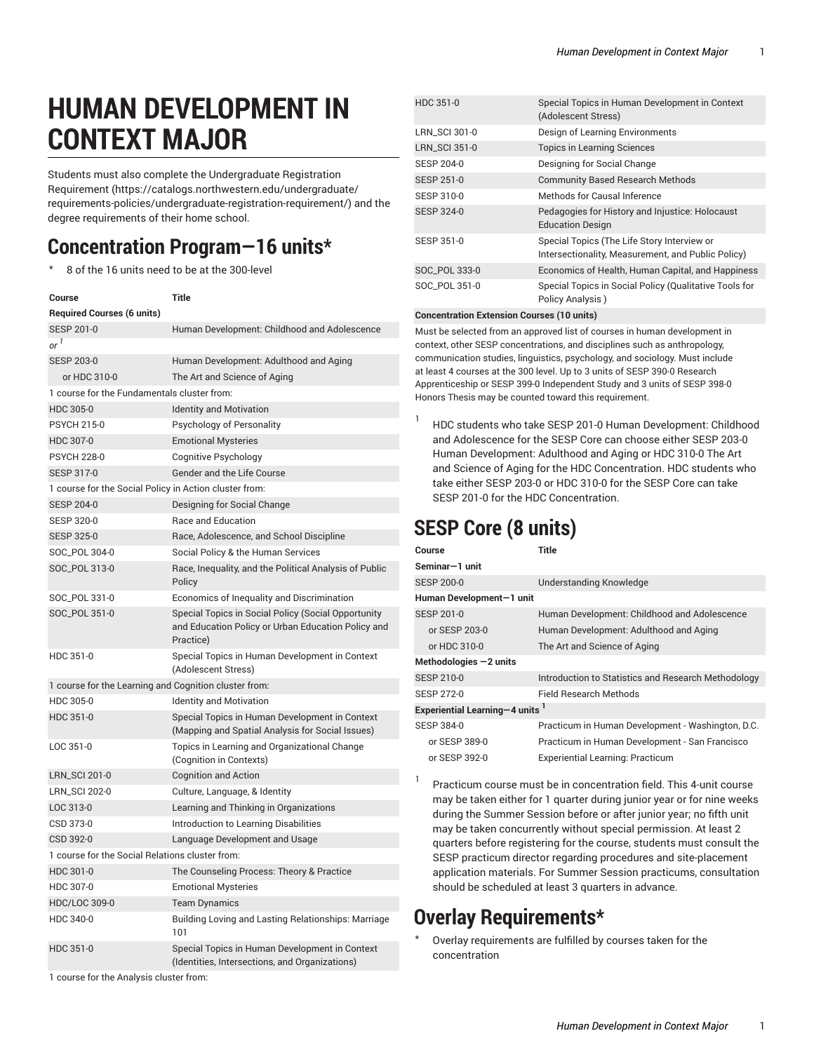# **HUMAN DEVELOPMENT IN CONTEXT MAJOR**

Students must also complete the [Undergraduate](https://catalogs.northwestern.edu/undergraduate/requirements-policies/undergraduate-registration-requirement/) Registration [Requirement](https://catalogs.northwestern.edu/undergraduate/requirements-policies/undergraduate-registration-requirement/) ([https://catalogs.northwestern.edu/undergraduate/](https://catalogs.northwestern.edu/undergraduate/requirements-policies/undergraduate-registration-requirement/) [requirements-policies/undergraduate-registration-requirement/\)](https://catalogs.northwestern.edu/undergraduate/requirements-policies/undergraduate-registration-requirement/) and the degree requirements of their home school.

# **Concentration Program—16 units\***

8 of the 16 units need to be at the 300-level

| Course                                                 | Title                                                                                                                  |  |
|--------------------------------------------------------|------------------------------------------------------------------------------------------------------------------------|--|
| <b>Required Courses (6 units)</b>                      |                                                                                                                        |  |
| <b>SESP 201-0</b>                                      | Human Development: Childhood and Adolescence                                                                           |  |
| or <sup>1</sup>                                        |                                                                                                                        |  |
| <b>SESP 203-0</b>                                      | Human Development: Adulthood and Aging                                                                                 |  |
| or HDC 310-0                                           | The Art and Science of Aging                                                                                           |  |
| 1 course for the Fundamentals cluster from:            |                                                                                                                        |  |
| HDC 305-0                                              | <b>Identity and Motivation</b>                                                                                         |  |
| <b>PSYCH 215-0</b>                                     | Psychology of Personality                                                                                              |  |
| HDC 307-0                                              | <b>Emotional Mysteries</b>                                                                                             |  |
| <b>PSYCH 228-0</b>                                     | Cognitive Psychology                                                                                                   |  |
| <b>SESP 317-0</b>                                      | Gender and the Life Course                                                                                             |  |
| 1 course for the Social Policy in Action cluster from: |                                                                                                                        |  |
| <b>SESP 204-0</b>                                      | Designing for Social Change                                                                                            |  |
| <b>SESP 320-0</b>                                      | <b>Race and Education</b>                                                                                              |  |
| <b>SESP 325-0</b>                                      | Race, Adolescence, and School Discipline                                                                               |  |
| SOC_POL 304-0                                          | Social Policy & the Human Services                                                                                     |  |
| SOC_POL 313-0                                          | Race, Inequality, and the Political Analysis of Public<br>Policy                                                       |  |
| SOC_POL 331-0                                          | Economics of Inequality and Discrimination                                                                             |  |
| SOC_POL 351-0                                          | Special Topics in Social Policy (Social Opportunity<br>and Education Policy or Urban Education Policy and<br>Practice) |  |
| HDC 351-0                                              | Special Topics in Human Development in Context<br>(Adolescent Stress)                                                  |  |
| 1 course for the Learning and Cognition cluster from:  |                                                                                                                        |  |
| HDC 305-0                                              | <b>Identity and Motivation</b>                                                                                         |  |
| HDC 351-0                                              | Special Topics in Human Development in Context<br>(Mapping and Spatial Analysis for Social Issues)                     |  |
| LOC 351-0                                              | Topics in Learning and Organizational Change<br>(Cognition in Contexts)                                                |  |
| <b>LRN_SCI 201-0</b>                                   | <b>Cognition and Action</b>                                                                                            |  |
| <b>LRN_SCI 202-0</b>                                   | Culture, Language, & Identity                                                                                          |  |
| LOC 313-0                                              | Learning and Thinking in Organizations                                                                                 |  |
| CSD 373-0                                              | <b>Introduction to Learning Disabilities</b>                                                                           |  |
| CSD 392-0                                              | Language Development and Usage                                                                                         |  |
| 1 course for the Social Relations cluster from:        |                                                                                                                        |  |
| HDC 301-0                                              | The Counseling Process: Theory & Practice                                                                              |  |
| HDC 307-0                                              | <b>Emotional Mysteries</b>                                                                                             |  |
| HDC/LOC 309-0                                          | <b>Team Dynamics</b>                                                                                                   |  |
| HDC 340-0                                              | Building Loving and Lasting Relationships: Marriage<br>101                                                             |  |
| HDC 351-0                                              | Special Topics in Human Development in Context<br>(Identities, Intersections, and Organizations)                       |  |
| 1 course for the Analysis cluster from:                |                                                                                                                        |  |

| HDC 351-0            | Special Topics in Human Development in Context<br>(Adolescent Stress)                             |
|----------------------|---------------------------------------------------------------------------------------------------|
| LRN SCI 301-0        | Design of Learning Environments                                                                   |
| <b>LRN_SCI 351-0</b> | <b>Topics in Learning Sciences</b>                                                                |
| SESP 204-0           | Designing for Social Change                                                                       |
| SESP 251-0           | <b>Community Based Research Methods</b>                                                           |
| SESP 310-0           | Methods for Causal Inference                                                                      |
| SESP 324-0           | Pedagogies for History and Injustice: Holocaust<br><b>Education Design</b>                        |
| <b>SESP 351-0</b>    | Special Topics (The Life Story Interview or<br>Intersectionality, Measurement, and Public Policy) |
| SOC POL 333-0        | Economics of Health, Human Capital, and Happiness                                                 |
| SOC POL 351-0        | Special Topics in Social Policy (Qualitative Tools for<br>Policy Analysis)                        |

### **Concentration Extension Courses (10 units)**

Must be selected from an approved list of courses in human development in context, other SESP concentrations, and disciplines such as anthropology, communication studies, linguistics, psychology, and sociology. Must include at least 4 courses at the 300 level. Up to 3 units of SESP 390-0 Research Apprenticeship or SESP 399-0 Independent Study and 3 units of SESP 398-0 Honors Thesis may be counted toward this requirement.

1 HDC students who take SESP 201-0 Human Development: Childhood and Adolescence for the SESP Core can choose either SESP 203-0 Human Development: Adulthood and Aging or HDC 310-0 The Art and Science of Aging for the HDC Concentration. HDC students who take either SESP 203-0 or HDC 310-0 for the SESP Core can take SESP 201-0 for the HDC Concentration.

## **SESP Core (8 units)**

| Course                                     | Title                                               |
|--------------------------------------------|-----------------------------------------------------|
| Seminar-1 unit                             |                                                     |
| <b>SESP 200-0</b>                          | <b>Understanding Knowledge</b>                      |
| Human Development-1 unit                   |                                                     |
| SESP 201-0                                 | Human Development: Childhood and Adolescence        |
| or SESP 203-0                              | Human Development: Adulthood and Aging              |
| or HDC 310-0                               | The Art and Science of Aging                        |
| Methodologies $-2$ units                   |                                                     |
| SESP 210-0                                 | Introduction to Statistics and Research Methodology |
| SESP 272-0                                 | Field Research Methods                              |
| Experiential Learning-4 units <sup>1</sup> |                                                     |
| SESP 384-0                                 | Practicum in Human Development - Washington, D.C.   |
| or SESP 389-0                              | Practicum in Human Development - San Francisco      |
| or SESP 392-0                              | Experiential Learning: Practicum                    |

Practicum course must be in concentration field. This 4-unit course may be taken either for 1 quarter during junior year or for nine weeks during the Summer Session before or after junior year; no fifth unit may be taken concurrently without special permission. At least 2 quarters before registering for the course, students must consult the SESP practicum director regarding procedures and site-placement application materials. For Summer Session practicums, consultation should be scheduled at least 3 quarters in advance.

### **Overlay Requirements\***

1

Overlay requirements are fulfilled by courses taken for the concentration